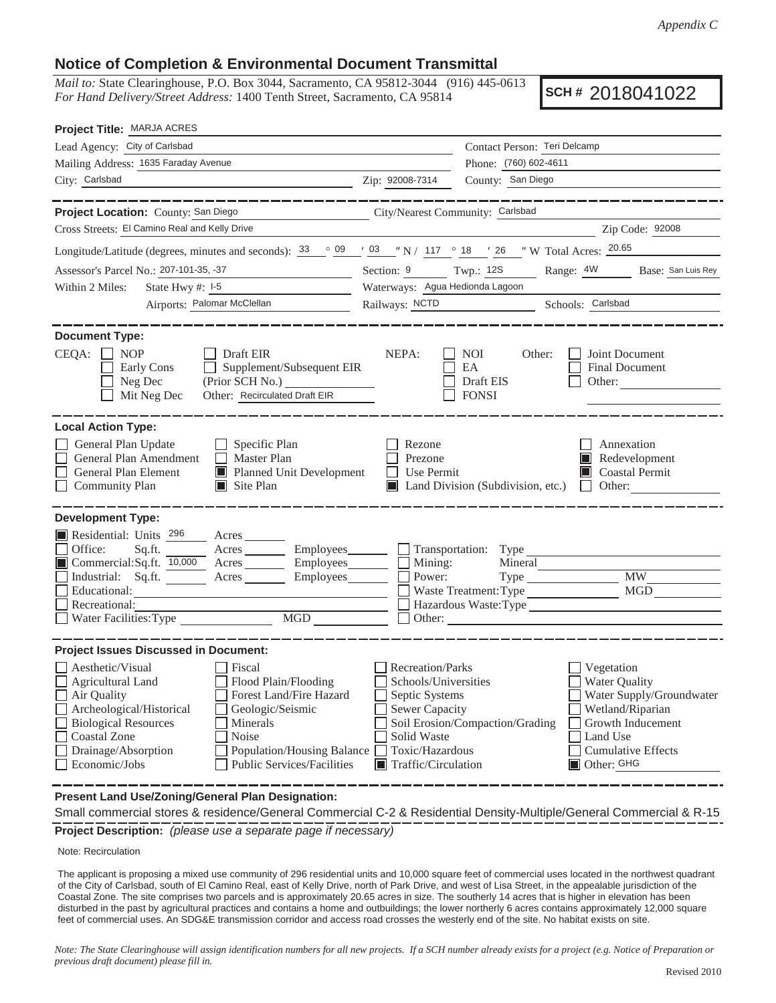## **Notice of Completion & Environmental Document Transmittal**

*Mail to:* State Clearinghouse, P.O. Box 3044, Sacramento, CA 95812-3044 (916) 445-0613 *For Hand Delivery/Street Address:* 1400 Tenth Street, Sacramento, CA 95814

**SCH #** 2018041022

| Project Title: MARJA ACRES                                                                                                                                                                                                                                                                |                                                                                                                                                                                                                                   |  |  |
|-------------------------------------------------------------------------------------------------------------------------------------------------------------------------------------------------------------------------------------------------------------------------------------------|-----------------------------------------------------------------------------------------------------------------------------------------------------------------------------------------------------------------------------------|--|--|
| Lead Agency: City of Carlsbad                                                                                                                                                                                                                                                             | Contact Person: Teri Delcamp                                                                                                                                                                                                      |  |  |
| Mailing Address: 1635 Faraday Avenue                                                                                                                                                                                                                                                      | Phone: (760) 602-4611                                                                                                                                                                                                             |  |  |
| City: Carlsbad<br><u>2ip: 92008-7314</u>                                                                                                                                                                                                                                                  | County: San Diego                                                                                                                                                                                                                 |  |  |
| -----------<br>Project Location: County: San Diego<br><u> 1980 - Jan Barnett, fransk politik (</u>                                                                                                                                                                                        | ____________<br>City/Nearest Community: Carlsbad                                                                                                                                                                                  |  |  |
| Cross Streets: El Camino Real and Kelly Drive                                                                                                                                                                                                                                             | Zip Code: 92008<br><u> 1980 - Johann Barn, mars ann an t-Amhainn an t-Amhainn an t-Amhainn an t-Amhainn an t-Amhainn an t-Amhainn an</u>                                                                                          |  |  |
| Longitude/Latitude (degrees, minutes and seconds): $33 \degree 09 \degree 703 \degree 7117 \degree 18 \degree 726 \degree 718$ Total Acres: $20.65$                                                                                                                                       |                                                                                                                                                                                                                                   |  |  |
| Assessor's Parcel No.: 207-101-35, -37<br><u> 1989 - Johann Barn, mars et al. (</u>                                                                                                                                                                                                       | Section: 9 Twp.: 12S Range: 4W Base: San Luis Rey                                                                                                                                                                                 |  |  |
| State Hwy #: 1-5<br>Within 2 Miles:                                                                                                                                                                                                                                                       | Waterways: Agua Hedionda Lagoon                                                                                                                                                                                                   |  |  |
| Airports: Palomar McClellan                                                                                                                                                                                                                                                               | Railways: NCTD Schools: Carlsbad                                                                                                                                                                                                  |  |  |
| <b>Document Type:</b><br>CEQA:<br>Draft EIR<br><b>NOP</b><br>Supplement/Subsequent EIR<br>Early Cons<br>(Prior SCH No.)<br>Neg Dec<br>Other: Recirculated Draft EIR<br>Mit Neg Dec                                                                                                        | NEPA:<br><b>NOI</b><br>Other:<br>Joint Document<br>EA<br>Final Document<br>Draft EIS<br>Other:<br><b>FONSI</b>                                                                                                                    |  |  |
| <b>Local Action Type:</b><br>General Plan Update<br>$\Box$ Specific Plan<br>General Plan Amendment<br>$\Box$ Master Plan<br>General Plan Element<br>Planned Unit Development<br><b>Community Plan</b><br>$\blacksquare$ Site Plan                                                         | Annexation<br>Rezone<br>Prezone<br>Redevelopment<br>Use Permit<br>$\Box$ Coastal Permit<br>Land Division (Subdivision, etc.)<br>Other:<br>$\Box$                                                                                  |  |  |
| <b>Development Type:</b><br>Residential: Units 296<br>Acres<br>Office:<br>Acres Employees<br>Sq.ft.<br>Commercial:Sq.ft. 10,000 Acres _______ Employees_______<br>Industrial: Sq.ft.<br>Acres Employees<br>Educational:<br><u> 1980 - Johann Barn, mars eta bainar e</u><br>Recreational: | Transportation: Type<br>Mining:<br>Mineral<br>Power:<br>MW NW<br>MGD<br>Waste Treatment: Type<br>Hazardous Waste:Type                                                                                                             |  |  |
| <b>Project Issues Discussed in Document:</b><br>$\Box$ Aesthetic/Visual<br><b>Fiscal</b><br>Flood Plain/Flooding<br>Agricultural Land<br>Forest Land/Fire Hazard<br>Air Quality<br>Archeological/Historical<br>Geologic/Seismic<br><b>Biological Resources</b><br>Minerals                | Recreation/Parks<br>Vegetation<br>Schools/Universities<br><b>Water Quality</b><br>Water Supply/Groundwater<br>Septic Systems<br><b>Sewer Capacity</b><br>Wetland/Riparian<br>Soil Erosion/Compaction/Grading<br>Growth Inducement |  |  |
| Noise<br><b>Coastal Zone</b><br>Drainage/Absorption<br>Population/Housing Balance<br>Economic/Jobs<br><b>Public Services/Facilities</b>                                                                                                                                                   | Solid Waste<br>Land Use<br>Toxic/Hazardous<br><b>Cumulative Effects</b><br>$\blacksquare$ Traffic/Circulation<br>Other: GHG                                                                                                       |  |  |
| Present Land Use/Zoning/General Plan Designation:                                                                                                                                                                                                                                         |                                                                                                                                                                                                                                   |  |  |

**Project Description:** *(please use a separate page if necessary)* Small commercial stores & residence/General Commercial C-2 & Residential Density-Multiple/General Commercial & R-15

Note: Recirculation

The applicant is proposing a mixed use community of 296 residential units and 10,000 square feet of commercial uses located in the northwest quadrant of the City of Carlsbad, south of El Camino Real, east of Kelly Drive, north of Park Drive, and west of Lisa Street, in the appealable jurisdiction of the Coastal Zone. The site comprises two parcels and is approximately 20.65 acres in size. The southerly 14 acres that is higher in elevation has been disturbed in the past by agricultural practices and contains a home and outbuildings; the lower northerly 6 acres contains approximately 12,000 square feet of commercial uses. An SDG&E transmission corridor and access road crosses the westerly end of the site. No habitat exists on site.

*Note: The State Clearinghouse will assign identification numbers for all new projects. If a SCH number already exists for a project (e.g. Notice of Preparation or previous draft document) please fill in.*